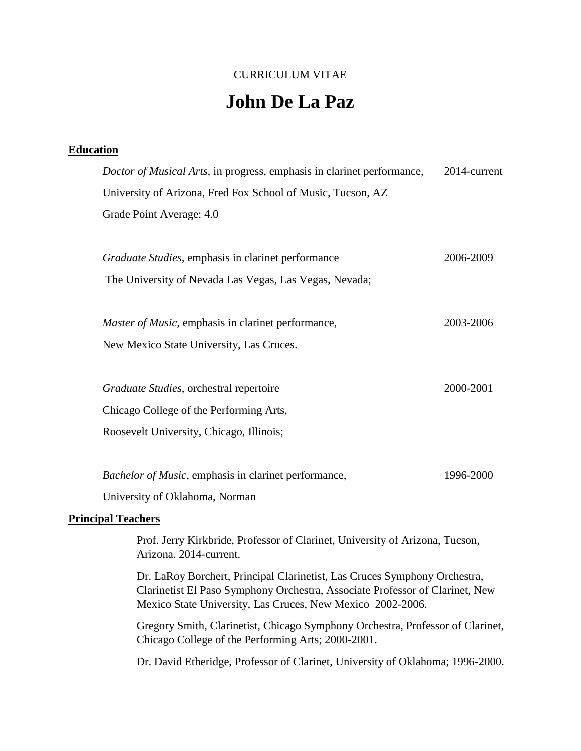# CURRICULUM VITAE

# **John De La Paz**

## **Education**

| Doctor of Musical Arts, in progress, emphasis in clarinet performance, | 2014-current |
|------------------------------------------------------------------------|--------------|
| University of Arizona, Fred Fox School of Music, Tucson, AZ            |              |
| Grade Point Average: 4.0                                               |              |
|                                                                        |              |
| <i>Graduate Studies</i> , emphasis in clarinet performance             | 2006-2009    |
| The University of Nevada Las Vegas, Las Vegas, Nevada;                 |              |
|                                                                        |              |
| <i>Master of Music</i> , emphasis in clarinet performance,             | 2003-2006    |
| New Mexico State University, Las Cruces.                               |              |
|                                                                        |              |
| Graduate Studies, orchestral repertoire                                | 2000-2001    |
| Chicago College of the Performing Arts,                                |              |
| Roosevelt University, Chicago, Illinois;                               |              |
|                                                                        |              |
| Bachelor of Music, emphasis in clarinet performance,                   | 1996-2000    |
| University of Oklahoma, Norman                                         |              |

#### **Principal Teachers**

Prof. Jerry Kirkbride, Professor of Clarinet, University of Arizona, Tucson, Arizona. 2014-current.

Dr. LaRoy Borchert, Principal Clarinetist, Las Cruces Symphony Orchestra, Clarinetist El Paso Symphony Orchestra, Associate Professor of Clarinet, New Mexico State University, Las Cruces, New Mexico 2002-2006.

Gregory Smith, Clarinetist, Chicago Symphony Orchestra, Professor of Clarinet, Chicago College of the Performing Arts; 2000-2001.

Dr. David Etheridge, Professor of Clarinet, University of Oklahoma; 1996-2000.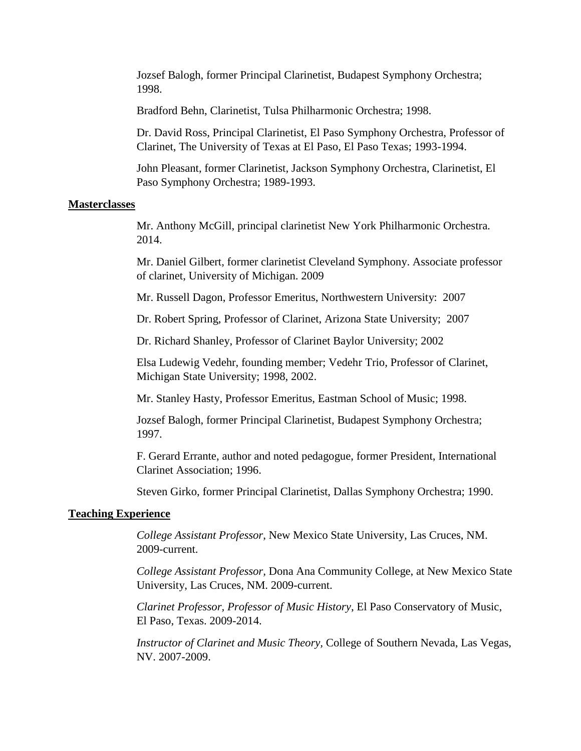Jozsef Balogh, former Principal Clarinetist, Budapest Symphony Orchestra; 1998.

Bradford Behn, Clarinetist, Tulsa Philharmonic Orchestra; 1998.

Dr. David Ross, Principal Clarinetist, El Paso Symphony Orchestra, Professor of Clarinet, The University of Texas at El Paso, El Paso Texas; 1993-1994.

John Pleasant, former Clarinetist, Jackson Symphony Orchestra, Clarinetist, El Paso Symphony Orchestra; 1989-1993.

#### **Masterclasses**

Mr. Anthony McGill, principal clarinetist New York Philharmonic Orchestra. 2014.

Mr. Daniel Gilbert, former clarinetist Cleveland Symphony. Associate professor of clarinet, University of Michigan. 2009

Mr. Russell Dagon, Professor Emeritus, Northwestern University: 2007

Dr. Robert Spring, Professor of Clarinet, Arizona State University; 2007

Dr. Richard Shanley, Professor of Clarinet Baylor University; 2002

Elsa Ludewig Vedehr, founding member; Vedehr Trio, Professor of Clarinet, Michigan State University; 1998, 2002.

Mr. Stanley Hasty, Professor Emeritus, Eastman School of Music; 1998.

Jozsef Balogh, former Principal Clarinetist, Budapest Symphony Orchestra; 1997.

F. Gerard Errante, author and noted pedagogue, former President, International Clarinet Association; 1996.

Steven Girko, former Principal Clarinetist, Dallas Symphony Orchestra; 1990.

#### **Teaching Experience**

*College Assistant Professor*, New Mexico State University, Las Cruces, NM. 2009-current.

*College Assistant Professor,* Dona Ana Community College, at New Mexico State University, Las Cruces, NM. 2009-current.

*Clarinet Professor, Professor of Music History*, El Paso Conservatory of Music, El Paso, Texas. 2009-2014.

*Instructor of Clarinet and Music Theory,* College of Southern Nevada, Las Vegas, NV. 2007-2009.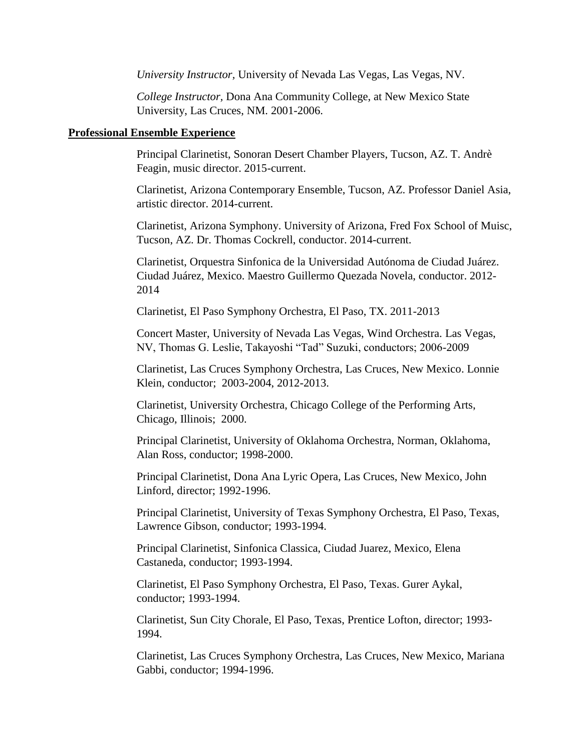*University Instructor,* University of Nevada Las Vegas, Las Vegas, NV.

*College Instructor,* Dona Ana Community College, at New Mexico State University, Las Cruces, NM. 2001-2006.

#### **Professional Ensemble Experience**

Principal Clarinetist, Sonoran Desert Chamber Players, Tucson, AZ. T. Andrè Feagin, music director. 2015-current.

Clarinetist, Arizona Contemporary Ensemble, Tucson, AZ. Professor Daniel Asia, artistic director. 2014-current.

Clarinetist, Arizona Symphony. University of Arizona, Fred Fox School of Muisc, Tucson, AZ. Dr. Thomas Cockrell, conductor. 2014-current.

Clarinetist, Orquestra Sinfonica de la Universidad Autónoma de Ciudad Juárez. Ciudad Juárez, Mexico. Maestro Guillermo Quezada Novela, conductor. 2012- 2014

Clarinetist, El Paso Symphony Orchestra, El Paso, TX. 2011-2013

Concert Master, University of Nevada Las Vegas, Wind Orchestra. Las Vegas, NV, Thomas G. Leslie, Takayoshi "Tad" Suzuki, conductors; 2006-2009

Clarinetist, Las Cruces Symphony Orchestra, Las Cruces, New Mexico. Lonnie Klein, conductor; 2003-2004, 2012-2013.

Clarinetist, University Orchestra, Chicago College of the Performing Arts, Chicago, Illinois; 2000.

Principal Clarinetist, University of Oklahoma Orchestra, Norman, Oklahoma, Alan Ross, conductor; 1998-2000.

Principal Clarinetist, Dona Ana Lyric Opera, Las Cruces, New Mexico, John Linford, director; 1992-1996.

Principal Clarinetist, University of Texas Symphony Orchestra, El Paso, Texas, Lawrence Gibson, conductor; 1993-1994.

Principal Clarinetist, Sinfonica Classica, Ciudad Juarez, Mexico, Elena Castaneda, conductor; 1993-1994.

Clarinetist, El Paso Symphony Orchestra, El Paso, Texas. Gurer Aykal, conductor; 1993-1994.

Clarinetist, Sun City Chorale, El Paso, Texas, Prentice Lofton, director; 1993- 1994.

Clarinetist, Las Cruces Symphony Orchestra, Las Cruces, New Mexico, Mariana Gabbi, conductor; 1994-1996.